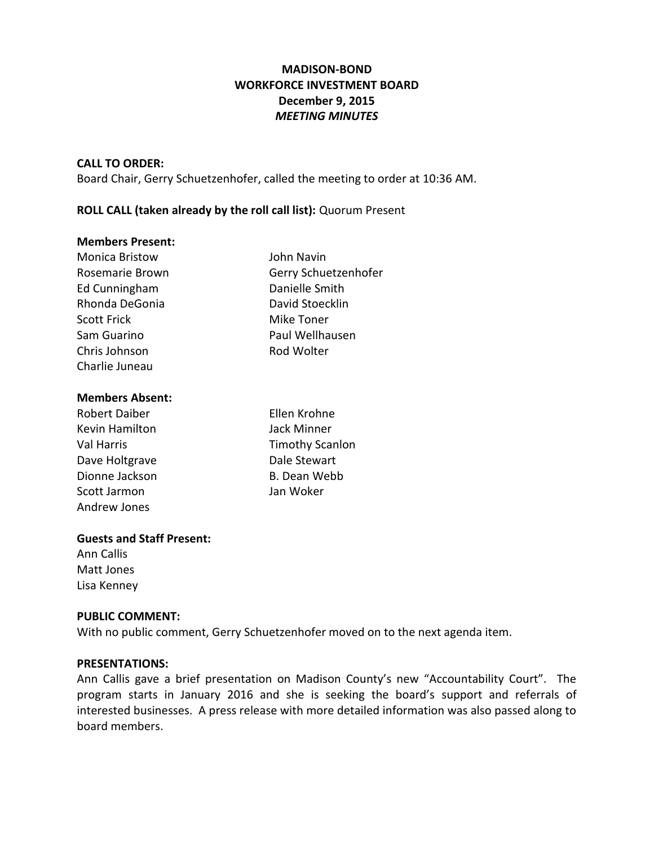# **MADISON-BOND WORKFORCE INVESTMENT BOARD December 9, 2015** *MEETING MINUTES*

### **CALL TO ORDER:**

Board Chair, Gerry Schuetzenhofer, called the meeting to order at 10:36 AM.

## **ROLL CALL (taken already by the roll call list):** Quorum Present

### **Members Present:**

| <b>Monica Bristow</b> | John Navin           |
|-----------------------|----------------------|
| Rosemarie Brown       | Gerry Schuetzenhofer |
| Ed Cunningham         | Danielle Smith       |
| Rhonda DeGonia        | David Stoecklin      |
| <b>Scott Frick</b>    | Mike Toner           |
| Sam Guarino           | Paul Wellhausen      |
| Chris Johnson         | Rod Wolter           |
| Charlie Juneau        |                      |

#### **Members Absent:**

| <b>Robert Daiber</b> | Ellen Krohne           |
|----------------------|------------------------|
| Kevin Hamilton       | Jack Minner            |
| Val Harris           | <b>Timothy Scanlon</b> |
| Dave Holtgrave       | Dale Stewart           |
| Dionne Jackson       | B. Dean Webb           |
| Scott Jarmon         | Jan Woker              |
| Andrew Jones         |                        |

### **Guests and Staff Present:**

Ann Callis Matt Jones Lisa Kenney

### **PUBLIC COMMENT:**

With no public comment, Gerry Schuetzenhofer moved on to the next agenda item.

### **PRESENTATIONS:**

Ann Callis gave a brief presentation on Madison County's new "Accountability Court". The program starts in January 2016 and she is seeking the board's support and referrals of interested businesses. A press release with more detailed information was also passed along to board members.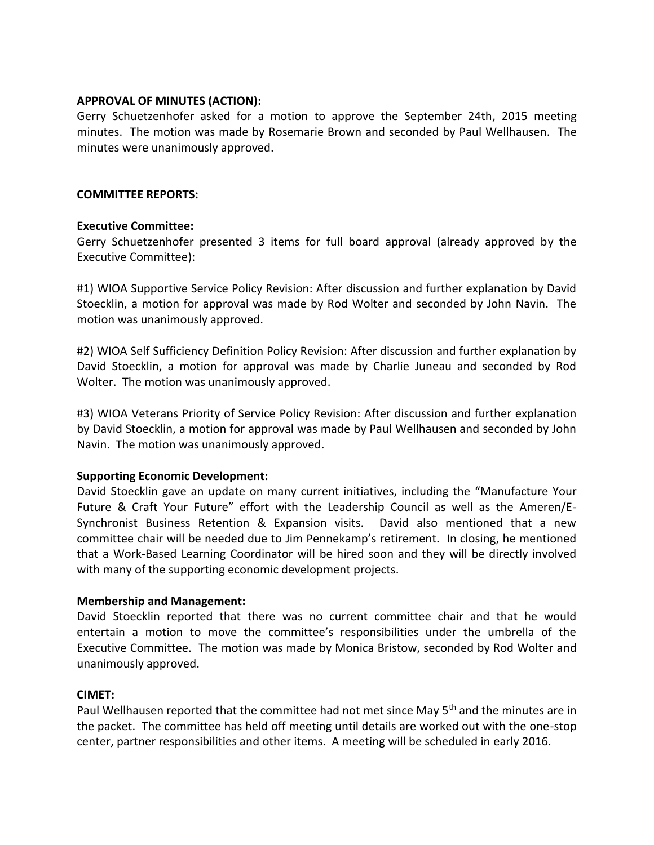## **APPROVAL OF MINUTES (ACTION):**

Gerry Schuetzenhofer asked for a motion to approve the September 24th, 2015 meeting minutes. The motion was made by Rosemarie Brown and seconded by Paul Wellhausen. The minutes were unanimously approved.

## **COMMITTEE REPORTS:**

## **Executive Committee:**

Gerry Schuetzenhofer presented 3 items for full board approval (already approved by the Executive Committee):

#1) WIOA Supportive Service Policy Revision: After discussion and further explanation by David Stoecklin, a motion for approval was made by Rod Wolter and seconded by John Navin. The motion was unanimously approved.

#2) WIOA Self Sufficiency Definition Policy Revision: After discussion and further explanation by David Stoecklin, a motion for approval was made by Charlie Juneau and seconded by Rod Wolter. The motion was unanimously approved.

#3) WIOA Veterans Priority of Service Policy Revision: After discussion and further explanation by David Stoecklin, a motion for approval was made by Paul Wellhausen and seconded by John Navin. The motion was unanimously approved.

### **Supporting Economic Development:**

David Stoecklin gave an update on many current initiatives, including the "Manufacture Your Future & Craft Your Future" effort with the Leadership Council as well as the Ameren/E-Synchronist Business Retention & Expansion visits. David also mentioned that a new committee chair will be needed due to Jim Pennekamp's retirement. In closing, he mentioned that a Work-Based Learning Coordinator will be hired soon and they will be directly involved with many of the supporting economic development projects.

## **Membership and Management:**

David Stoecklin reported that there was no current committee chair and that he would entertain a motion to move the committee's responsibilities under the umbrella of the Executive Committee. The motion was made by Monica Bristow, seconded by Rod Wolter and unanimously approved.

### **CIMET:**

Paul Wellhausen reported that the committee had not met since May 5<sup>th</sup> and the minutes are in the packet. The committee has held off meeting until details are worked out with the one-stop center, partner responsibilities and other items. A meeting will be scheduled in early 2016.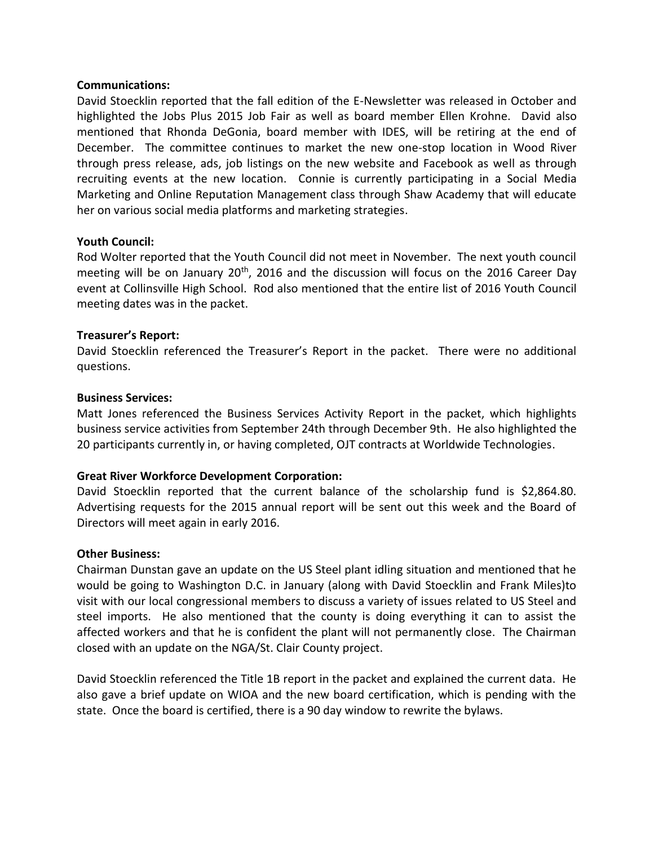### **Communications:**

David Stoecklin reported that the fall edition of the E-Newsletter was released in October and highlighted the Jobs Plus 2015 Job Fair as well as board member Ellen Krohne. David also mentioned that Rhonda DeGonia, board member with IDES, will be retiring at the end of December. The committee continues to market the new one-stop location in Wood River through press release, ads, job listings on the new website and Facebook as well as through recruiting events at the new location. Connie is currently participating in a Social Media Marketing and Online Reputation Management class through Shaw Academy that will educate her on various social media platforms and marketing strategies.

## **Youth Council:**

Rod Wolter reported that the Youth Council did not meet in November. The next youth council meeting will be on January  $20<sup>th</sup>$ , 2016 and the discussion will focus on the 2016 Career Day event at Collinsville High School. Rod also mentioned that the entire list of 2016 Youth Council meeting dates was in the packet.

## **Treasurer's Report:**

David Stoecklin referenced the Treasurer's Report in the packet. There were no additional questions.

## **Business Services:**

Matt Jones referenced the Business Services Activity Report in the packet, which highlights business service activities from September 24th through December 9th. He also highlighted the 20 participants currently in, or having completed, OJT contracts at Worldwide Technologies.

## **Great River Workforce Development Corporation:**

David Stoecklin reported that the current balance of the scholarship fund is \$2,864.80. Advertising requests for the 2015 annual report will be sent out this week and the Board of Directors will meet again in early 2016.

### **Other Business:**

Chairman Dunstan gave an update on the US Steel plant idling situation and mentioned that he would be going to Washington D.C. in January (along with David Stoecklin and Frank Miles)to visit with our local congressional members to discuss a variety of issues related to US Steel and steel imports. He also mentioned that the county is doing everything it can to assist the affected workers and that he is confident the plant will not permanently close. The Chairman closed with an update on the NGA/St. Clair County project.

David Stoecklin referenced the Title 1B report in the packet and explained the current data. He also gave a brief update on WIOA and the new board certification, which is pending with the state. Once the board is certified, there is a 90 day window to rewrite the bylaws.